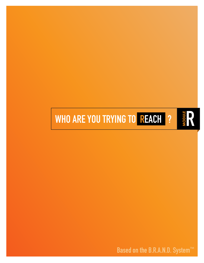## **WHO ARE YOU TRYING TO REACH ?**



**RODULE**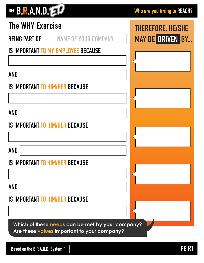# GET B.R.A.N.D.

| <b>The WHY Exercise</b>                             | <b>THEREFORE, HE/SHE</b> |
|-----------------------------------------------------|--------------------------|
| <b>BEING PART OF</b><br><b>NAME OF YOUR COMPANY</b> | <b>MAY BE DRIVEN BY</b>  |
| <b>IS IMPORTANT TO MY EMPLOYEE BECAUSE</b>          |                          |
|                                                     |                          |
| <b>AND</b>                                          |                          |
| <b>IS IMPORTANT TO HIM/HER BECAUSE</b>              |                          |
|                                                     |                          |
| <b>AND</b>                                          |                          |
| <b>IS IMPORTANT TO HIM/HER BECAUSE</b>              |                          |
|                                                     |                          |
| <b>AND</b>                                          |                          |
| <b>IS IMPORTANT TO HIM/HER BECAUSE</b>              |                          |
|                                                     |                          |
| AND                                                 |                          |
| <b>IS IMPORTANT TO HIM/HER BECAUSE</b>              |                          |
|                                                     |                          |
| Which of these needs can be met by your company?    |                          |
| Are these values important to your company?         |                          |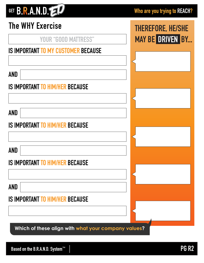### GET B.R.A.N.D.

**THEREFORE, HE/SHE**

**MAY BE DRIVEN BY...** 

### **The WHY Exercise**

|  |  | <b>YOUR "GOOD MATTRESS"</b> |
|--|--|-----------------------------|
|--|--|-----------------------------|

#### **IS IMPORTANT TO MY CUSTOMER BECAUSE**

**AND**

#### **IS IMPORTANT TO HIM/HER BECAUSE**

**AND**

#### **IS IMPORTANT TO HIM/HER BECAUSE**

**AND**

#### **IS IMPORTANT TO HIM/HER BECAUSE**

**AND**

#### **IS IMPORTANT TO HIM/HER BECAUSE**

**Which of these align with what your company values?**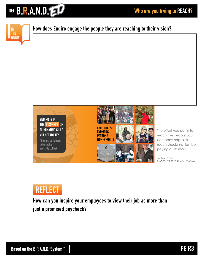





**How can you inspire your employees to view their job as more than just a promised paycheck?**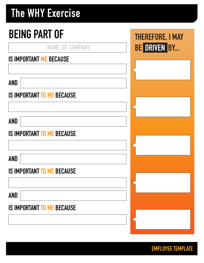## **The WHY Exercise**

# **BEING PART OF**

**NAME OF COMPANY**

#### **IS IMPORTANT ME BECAUSE**

**AND**

#### **IS IMPORTANT TO ME BECAUSE**

**AND**

#### **IS IMPORTANT TO ME BECAUSE**

**AND**

#### **IS IMPORTANT TO ME BECAUSE**

**AND**

#### **IS IMPORTANT TO ME BECAUSE**

**THEREFORE, I MAY BE DRIVEN BY...**

**EMPLOYEE TEMPLATE**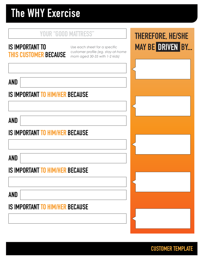## **The WHY Exercise**

#### **YOUR "GOOD MATTRESS"**

#### **IS IMPORTANT TO THIS CUSTOMER BECAUSE**

Use each sheet for a specific customer profile *(eg. stay-at-home mom aged 30-35 with 1-2 kids)*

**AND**

#### **IS IMPORTANT TO HIM/HER BECAUSE**

**AND**

#### **IS IMPORTANT TO HIM/HER BECAUSE**

**AND**

#### **IS IMPORTANT TO HIM/HER BECAUSE**

**AND**

#### **IS IMPORTANT TO HIM/HER BECAUSE**

### **THEREFORE, HE/SHE MAY BE DRIVEN BY...**

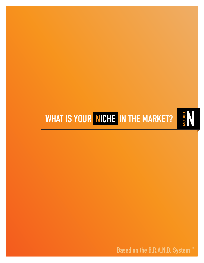**Based on the B.R.A.N.D. System™**

# **WHAT IS YOUR NICHE IN THE MARKET?**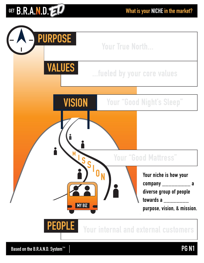### GET B.R.A.N.D. EV